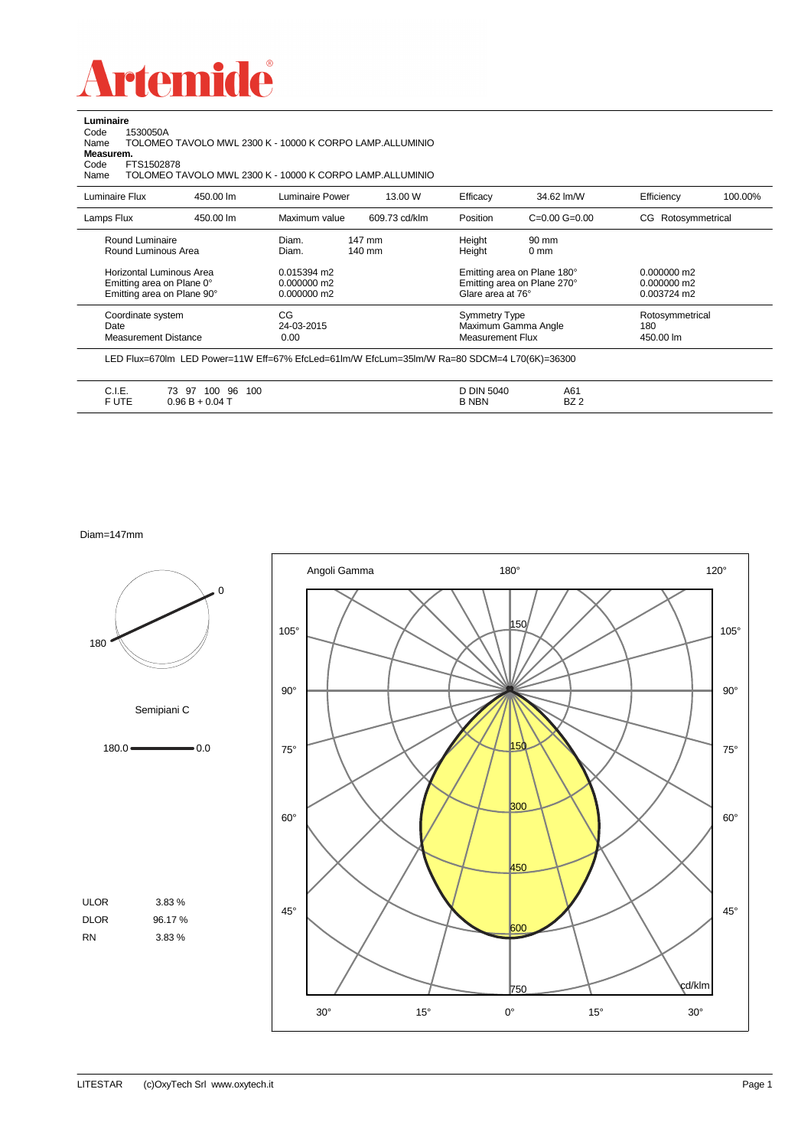

**Luminaire** Code 1530050A

| <b>Name</b> | TOLOMEO TAVOLO MWL 2300 K - 10000 K CORPO LAMP.ALLUMINIO |
|-------------|----------------------------------------------------------|
| Measurem.   |                                                          |
| Code        | FTS1502878                                               |
| Name        | TOLOMEO TAVOLO MWL 2300 K - 10000 K CORPO LAMP.ALLUMINIO |
|             |                                                          |

| Luminaire Flux                                                                      | 450.00 lm | Luminaire Power                               | 13.00 W                    | Efficacy                                 | 34.62 lm/W                                                 | Efficiency                                    | 100.00% |
|-------------------------------------------------------------------------------------|-----------|-----------------------------------------------|----------------------------|------------------------------------------|------------------------------------------------------------|-----------------------------------------------|---------|
| Lamps Flux                                                                          | 450.00 lm | Maximum value                                 | 609.73 cd/klm              | Position                                 | $C=0.00$ $G=0.00$                                          | CG Rotosymmetrical                            |         |
| Round Luminaire<br>Round Luminous Area                                              |           | Diam.<br>Diam.                                | 147 mm<br>$140 \text{ mm}$ | Height<br>Height                         | 90 mm<br>$0 \text{ mm}$                                    |                                               |         |
| Horizontal Luminous Area<br>Emitting area on Plane 0°<br>Emitting area on Plane 90° |           | 0.015394 m2<br>$0.000000$ m2<br>$0.000000$ m2 |                            | Glare area at 76°                        | Emitting area on Plane 180°<br>Emitting area on Plane 270° | $0.000000$ m2<br>$0.000000$ m2<br>0.003724 m2 |         |
| Coordinate system<br>Date<br>Measurement Distance                                   |           | CG<br>24-03-2015<br>0.00                      |                            | <b>Symmetry Type</b><br>Measurement Flux | Maximum Gamma Angle                                        | Rotosymmetrical<br>180<br>450.00 lm           |         |

| .<br>$\cup$ . | $\overline{\phantom{a}}$<br>100<br>100<br>97<br>96<br>ں ، | 5040  | A61         |  |
|---------------|-----------------------------------------------------------|-------|-------------|--|
| e uee<br>UIL. | UU<br>.                                                   | B NBN | D70<br>DZ Z |  |

Diam=147mm

180